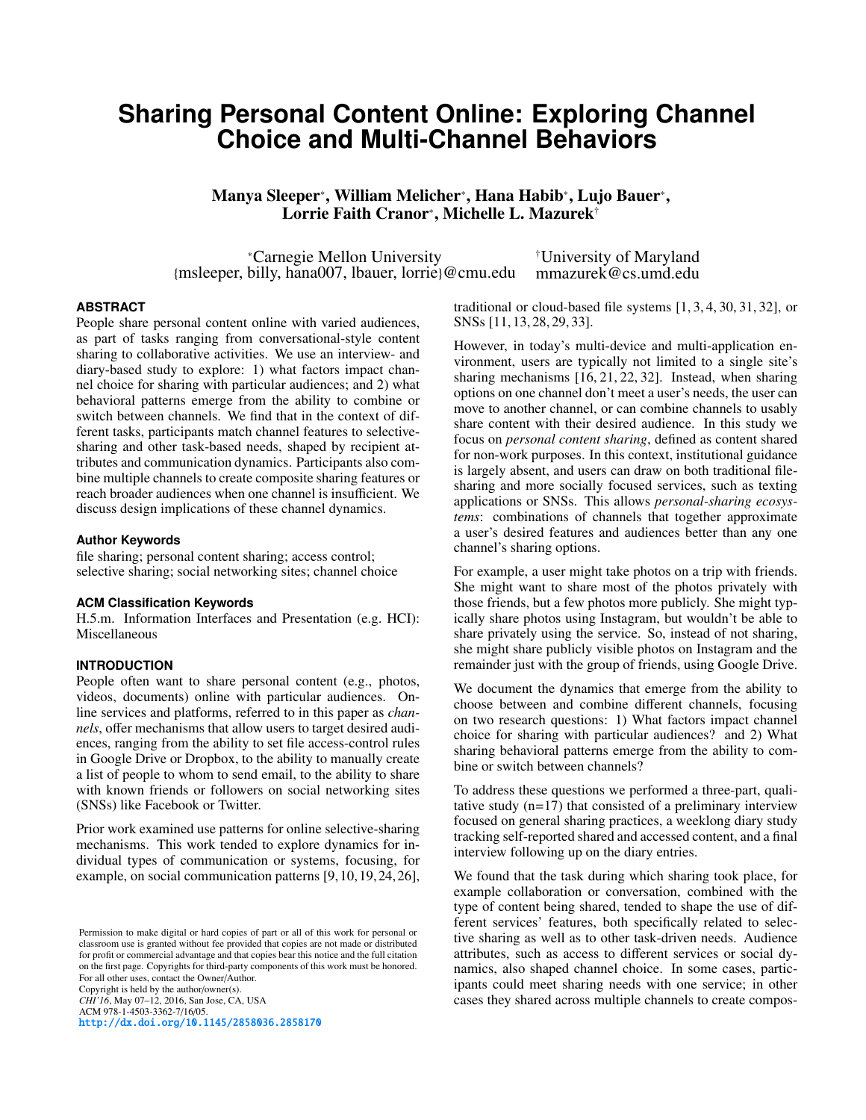# **Sharing Personal Content Online: Exploring Channel Choice and Multi-Channel Behaviors**

Manya Sleeper\*, William Melicher\*, Hana Habib\*, Lujo Bauer\*, Lorrie Faith Cranor<sup>\*</sup>, Michelle L. Mazurek<sup>†</sup>

⇤Carnegie Mellon University {msleeper, billy, hana007, lbauer, lorrie}@cmu.edu †University of Maryland mmazurek@cs.umd.edu

## **ABSTRACT**

People share personal content online with varied audiences, as part of tasks ranging from conversational-style content sharing to collaborative activities. We use an interview- and diary-based study to explore: 1) what factors impact channel choice for sharing with particular audiences; and 2) what behavioral patterns emerge from the ability to combine or switch between channels. We find that in the context of different tasks, participants match channel features to selectivesharing and other task-based needs, shaped by recipient attributes and communication dynamics. Participants also combine multiple channels to create composite sharing features or reach broader audiences when one channel is insufficient. We discuss design implications of these channel dynamics.

### **Author Keywords**

file sharing; personal content sharing; access control; selective sharing; social networking sites; channel choice

## **ACM Classification Keywords**

H.5.m. Information Interfaces and Presentation (e.g. HCI): Miscellaneous

# **INTRODUCTION**

People often want to share personal content (e.g., photos, videos, documents) online with particular audiences. Online services and platforms, referred to in this paper as *channels*, offer mechanisms that allow users to target desired audiences, ranging from the ability to set file access-control rules in Google Drive or Dropbox, to the ability to manually create a list of people to whom to send email, to the ability to share with known friends or followers on social networking sites (SNSs) like Facebook or Twitter.

Prior work examined use patterns for online selective-sharing mechanisms. This work tended to explore dynamics for individual types of communication or systems, focusing, for example, on social communication patterns [9,10,19,24,26],

Permission to make digital or hard copies of part or all of this work for personal or classroom use is granted without fee provided that copies are not made or distributed for profit or commercial advantage and that copies bear this notice and the full citation on the first page. Copyrights for third-party components of this work must be honored. For all other uses, contact the Owner/Author. Copyright is held by the author/owner(s). *CHI'16*, May 07–12, 2016, San Jose, CA, USA ACM 978-1-4503-3362-7/16/05. http://dx.doi.org/10.1145/2858036.2858170

traditional or cloud-based file systems [1, 3, 4, 30, 31, 32], or SNSs [11, 13, 28, 29, 33].

However, in today's multi-device and multi-application environment, users are typically not limited to a single site's sharing mechanisms [16, 21, 22, 32]. Instead, when sharing options on one channel don't meet a user's needs, the user can move to another channel, or can combine channels to usably share content with their desired audience. In this study we focus on *personal content sharing*, defined as content shared for non-work purposes. In this context, institutional guidance is largely absent, and users can draw on both traditional filesharing and more socially focused services, such as texting applications or SNSs. This allows *personal-sharing ecosystems*: combinations of channels that together approximate a user's desired features and audiences better than any one channel's sharing options.

For example, a user might take photos on a trip with friends. She might want to share most of the photos privately with those friends, but a few photos more publicly. She might typically share photos using Instagram, but wouldn't be able to share privately using the service. So, instead of not sharing, she might share publicly visible photos on Instagram and the remainder just with the group of friends, using Google Drive.

We document the dynamics that emerge from the ability to choose between and combine different channels, focusing on two research questions: 1) What factors impact channel choice for sharing with particular audiences? and 2) What sharing behavioral patterns emerge from the ability to combine or switch between channels?

To address these questions we performed a three-part, qualitative study  $(n=17)$  that consisted of a preliminary interview focused on general sharing practices, a weeklong diary study tracking self-reported shared and accessed content, and a final interview following up on the diary entries.

We found that the task during which sharing took place, for example collaboration or conversation, combined with the type of content being shared, tended to shape the use of different services' features, both specifically related to selective sharing as well as to other task-driven needs. Audience attributes, such as access to different services or social dynamics, also shaped channel choice. In some cases, participants could meet sharing needs with one service; in other cases they shared across multiple channels to create compos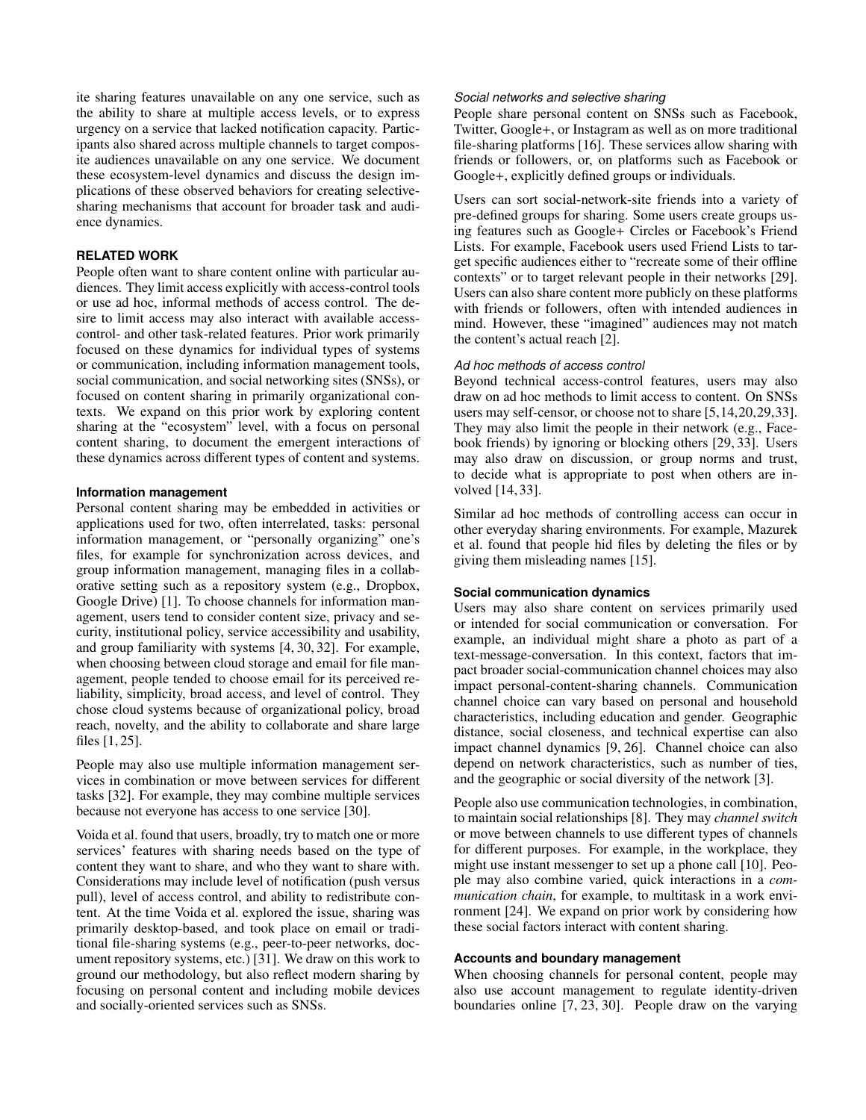ite sharing features unavailable on any one service, such as the ability to share at multiple access levels, or to express urgency on a service that lacked notification capacity. Participants also shared across multiple channels to target composite audiences unavailable on any one service. We document these ecosystem-level dynamics and discuss the design implications of these observed behaviors for creating selectivesharing mechanisms that account for broader task and audience dynamics.

# **RELATED WORK**

People often want to share content online with particular audiences. They limit access explicitly with access-control tools or use ad hoc, informal methods of access control. The desire to limit access may also interact with available accesscontrol- and other task-related features. Prior work primarily focused on these dynamics for individual types of systems or communication, including information management tools, social communication, and social networking sites (SNSs), or focused on content sharing in primarily organizational contexts. We expand on this prior work by exploring content sharing at the "ecosystem" level, with a focus on personal content sharing, to document the emergent interactions of these dynamics across different types of content and systems.

## **Information management**

Personal content sharing may be embedded in activities or applications used for two, often interrelated, tasks: personal information management, or "personally organizing" one's files, for example for synchronization across devices, and group information management, managing files in a collaborative setting such as a repository system (e.g., Dropbox, Google Drive) [1]. To choose channels for information management, users tend to consider content size, privacy and security, institutional policy, service accessibility and usability, and group familiarity with systems [4, 30, 32]. For example, when choosing between cloud storage and email for file management, people tended to choose email for its perceived reliability, simplicity, broad access, and level of control. They chose cloud systems because of organizational policy, broad reach, novelty, and the ability to collaborate and share large files [1, 25].

People may also use multiple information management services in combination or move between services for different tasks [32]. For example, they may combine multiple services because not everyone has access to one service [30].

Voida et al. found that users, broadly, try to match one or more services' features with sharing needs based on the type of content they want to share, and who they want to share with. Considerations may include level of notification (push versus pull), level of access control, and ability to redistribute content. At the time Voida et al. explored the issue, sharing was primarily desktop-based, and took place on email or traditional file-sharing systems (e.g., peer-to-peer networks, document repository systems, etc.) [31]. We draw on this work to ground our methodology, but also reflect modern sharing by focusing on personal content and including mobile devices and socially-oriented services such as SNSs.

## *Social networks and selective sharing*

People share personal content on SNSs such as Facebook, Twitter, Google+, or Instagram as well as on more traditional file-sharing platforms [16]. These services allow sharing with friends or followers, or, on platforms such as Facebook or Google+, explicitly defined groups or individuals.

Users can sort social-network-site friends into a variety of pre-defined groups for sharing. Some users create groups using features such as Google+ Circles or Facebook's Friend Lists. For example, Facebook users used Friend Lists to target specific audiences either to "recreate some of their offline contexts" or to target relevant people in their networks [29]. Users can also share content more publicly on these platforms with friends or followers, often with intended audiences in mind. However, these "imagined" audiences may not match the content's actual reach [2].

## *Ad hoc methods of access control*

Beyond technical access-control features, users may also draw on ad hoc methods to limit access to content. On SNSs users may self-censor, or choose not to share [5,14,20,29,33]. They may also limit the people in their network (e.g., Facebook friends) by ignoring or blocking others [29, 33]. Users may also draw on discussion, or group norms and trust, to decide what is appropriate to post when others are involved [14, 33].

Similar ad hoc methods of controlling access can occur in other everyday sharing environments. For example, Mazurek et al. found that people hid files by deleting the files or by giving them misleading names [15].

# **Social communication dynamics**

Users may also share content on services primarily used or intended for social communication or conversation. For example, an individual might share a photo as part of a text-message-conversation. In this context, factors that impact broader social-communication channel choices may also impact personal-content-sharing channels. Communication channel choice can vary based on personal and household characteristics, including education and gender. Geographic distance, social closeness, and technical expertise can also impact channel dynamics [9, 26]. Channel choice can also depend on network characteristics, such as number of ties, and the geographic or social diversity of the network [3].

People also use communication technologies, in combination, to maintain social relationships [8]. They may *channel switch* or move between channels to use different types of channels for different purposes. For example, in the workplace, they might use instant messenger to set up a phone call [10]. People may also combine varied, quick interactions in a *communication chain*, for example, to multitask in a work environment [24]. We expand on prior work by considering how these social factors interact with content sharing.

## **Accounts and boundary management**

When choosing channels for personal content, people may also use account management to regulate identity-driven boundaries online [7, 23, 30]. People draw on the varying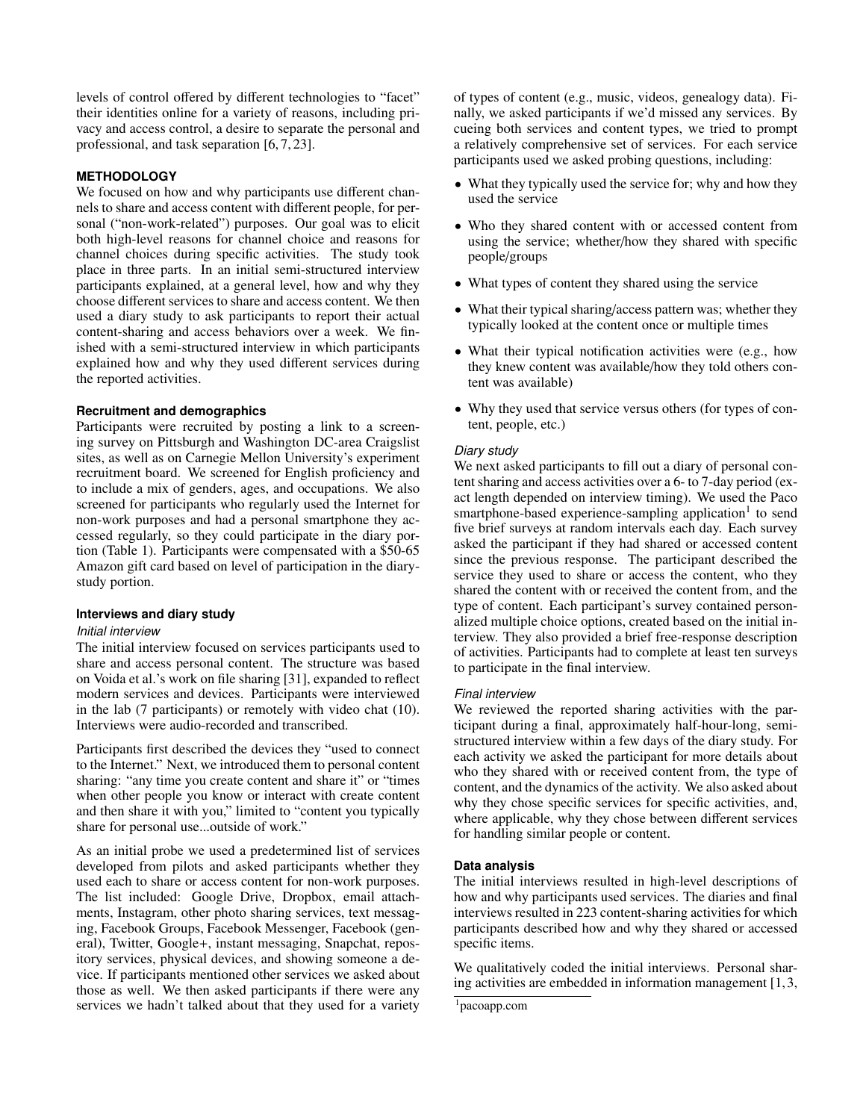levels of control offered by different technologies to "facet" their identities online for a variety of reasons, including privacy and access control, a desire to separate the personal and professional, and task separation [6, 7, 23].

# **METHODOLOGY**

We focused on how and why participants use different channels to share and access content with different people, for personal ("non-work-related") purposes. Our goal was to elicit both high-level reasons for channel choice and reasons for channel choices during specific activities. The study took place in three parts. In an initial semi-structured interview participants explained, at a general level, how and why they choose different services to share and access content. We then used a diary study to ask participants to report their actual content-sharing and access behaviors over a week. We finished with a semi-structured interview in which participants explained how and why they used different services during the reported activities.

## **Recruitment and demographics**

Participants were recruited by posting a link to a screening survey on Pittsburgh and Washington DC-area Craigslist sites, as well as on Carnegie Mellon University's experiment recruitment board. We screened for English proficiency and to include a mix of genders, ages, and occupations. We also screened for participants who regularly used the Internet for non-work purposes and had a personal smartphone they accessed regularly, so they could participate in the diary portion (Table 1). Participants were compensated with a \$50-65 Amazon gift card based on level of participation in the diarystudy portion.

# **Interviews and diary study**

## *Initial interview*

The initial interview focused on services participants used to share and access personal content. The structure was based on Voida et al.'s work on file sharing [31], expanded to reflect modern services and devices. Participants were interviewed in the lab (7 participants) or remotely with video chat (10). Interviews were audio-recorded and transcribed.

Participants first described the devices they "used to connect to the Internet." Next, we introduced them to personal content sharing: "any time you create content and share it" or "times when other people you know or interact with create content and then share it with you," limited to "content you typically share for personal use...outside of work."

As an initial probe we used a predetermined list of services developed from pilots and asked participants whether they used each to share or access content for non-work purposes. The list included: Google Drive, Dropbox, email attachments, Instagram, other photo sharing services, text messaging, Facebook Groups, Facebook Messenger, Facebook (general), Twitter, Google+, instant messaging, Snapchat, repository services, physical devices, and showing someone a device. If participants mentioned other services we asked about those as well. We then asked participants if there were any services we hadn't talked about that they used for a variety

of types of content (e.g., music, videos, genealogy data). Finally, we asked participants if we'd missed any services. By cueing both services and content types, we tried to prompt a relatively comprehensive set of services. For each service participants used we asked probing questions, including:

- What they typically used the service for; why and how they used the service
- Who they shared content with or accessed content from using the service; whether/how they shared with specific people/groups
- What types of content they shared using the service
- What their typical sharing/access pattern was; whether they typically looked at the content once or multiple times
- What their typical notification activities were (e.g., how they knew content was available/how they told others content was available)
- Why they used that service versus others (for types of content, people, etc.)

# *Diary study*

We next asked participants to fill out a diary of personal content sharing and access activities over a 6- to 7-day period (exact length depended on interview timing). We used the Paco smartphone-based experience-sampling application<sup>1</sup> to send five brief surveys at random intervals each day. Each survey asked the participant if they had shared or accessed content since the previous response. The participant described the service they used to share or access the content, who they shared the content with or received the content from, and the type of content. Each participant's survey contained personalized multiple choice options, created based on the initial interview. They also provided a brief free-response description of activities. Participants had to complete at least ten surveys to participate in the final interview.

## *Final interview*

We reviewed the reported sharing activities with the participant during a final, approximately half-hour-long, semistructured interview within a few days of the diary study. For each activity we asked the participant for more details about who they shared with or received content from, the type of content, and the dynamics of the activity. We also asked about why they chose specific services for specific activities, and, where applicable, why they chose between different services for handling similar people or content.

## **Data analysis**

The initial interviews resulted in high-level descriptions of how and why participants used services. The diaries and final interviews resulted in 223 content-sharing activities for which participants described how and why they shared or accessed specific items.

We qualitatively coded the initial interviews. Personal sharing activities are embedded in information management [1,3,

 $1$ pacoapp.com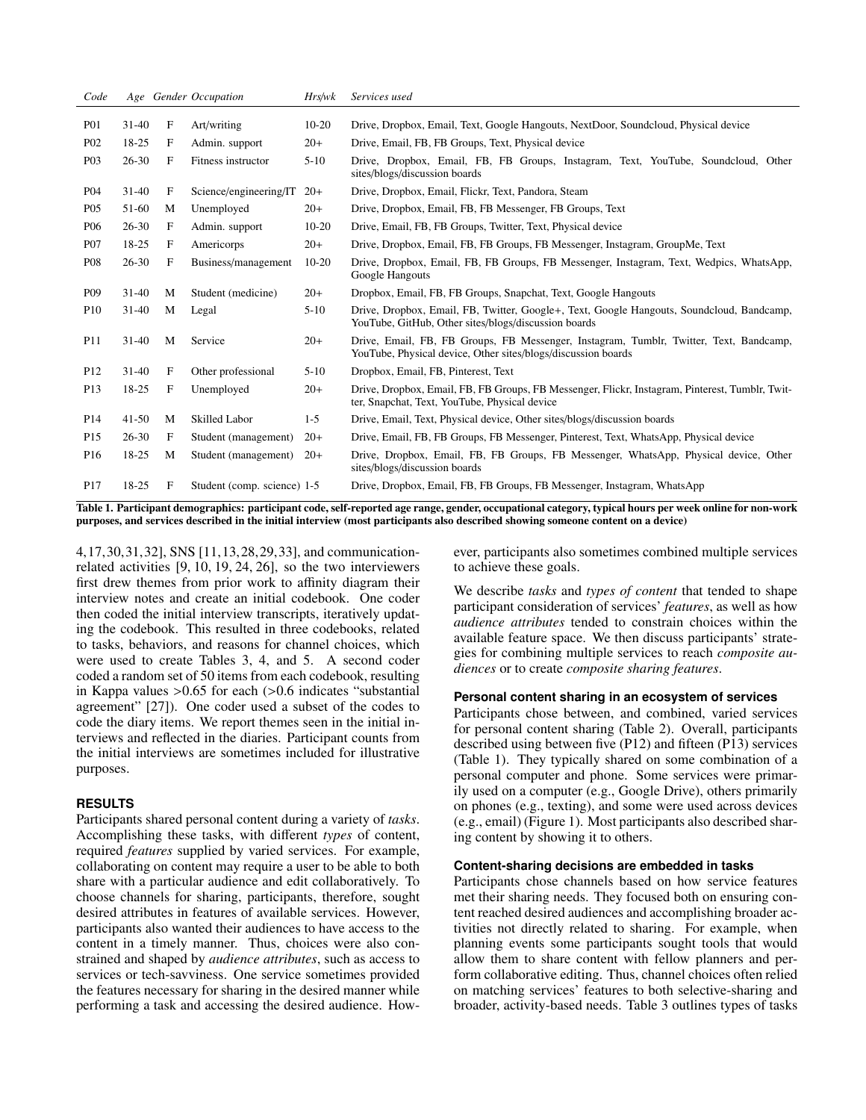| Code             |           |   | Age Gender Occupation       | Hrs/wk    | Services used                                                                                                                                           |
|------------------|-----------|---|-----------------------------|-----------|---------------------------------------------------------------------------------------------------------------------------------------------------------|
| <b>P01</b>       | $31 - 40$ | F | Art/writing                 | $10 - 20$ | Drive, Dropbox, Email, Text, Google Hangouts, NextDoor, Soundcloud, Physical device                                                                     |
| P <sub>0</sub> 2 | 18-25     | F | Admin. support              | $20+$     | Drive, Email, FB, FB Groups, Text, Physical device                                                                                                      |
| P <sub>0</sub> 3 | $26 - 30$ | F | Fitness instructor          | $5-10$    | Drive, Dropbox, Email, FB, FB Groups, Instagram, Text, YouTube, Soundcloud, Other<br>sites/blogs/discussion boards                                      |
| <b>P04</b>       | $31-40$   | F | Science/engineering/IT      | $20+$     | Drive, Dropbox, Email, Flickr, Text, Pandora, Steam                                                                                                     |
| <b>P05</b>       | 51-60     | M | Unemployed                  | $20+$     | Drive, Dropbox, Email, FB, FB Messenger, FB Groups, Text                                                                                                |
| <b>P06</b>       | $26 - 30$ | F | Admin. support              | $10-20$   | Drive, Email, FB, FB Groups, Twitter, Text, Physical device                                                                                             |
| <b>P07</b>       | 18-25     | F | Americorps                  | $20+$     | Drive, Dropbox, Email, FB, FB Groups, FB Messenger, Instagram, GroupMe, Text                                                                            |
| <b>P08</b>       | $26 - 30$ | F | Business/management         | $10-20$   | Drive, Dropbox, Email, FB, FB Groups, FB Messenger, Instagram, Text, Wedpics, WhatsApp,<br>Google Hangouts                                              |
| P <sub>09</sub>  | $31 - 40$ | M | Student (medicine)          | $20+$     | Dropbox, Email, FB, FB Groups, Snapchat, Text, Google Hangouts                                                                                          |
| P <sub>10</sub>  | $31 - 40$ | M | Legal                       | $5-10$    | Drive, Dropbox, Email, FB, Twitter, Google+, Text, Google Hangouts, Soundcloud, Bandcamp,<br>YouTube, GitHub, Other sites/blogs/discussion boards       |
| <b>P11</b>       | $31 - 40$ | M | Service                     | $20+$     | Drive, Email, FB, FB Groups, FB Messenger, Instagram, Tumblr, Twitter, Text, Bandcamp,<br>YouTube, Physical device, Other sites/blogs/discussion boards |
| P <sub>12</sub>  | $31 - 40$ | F | Other professional          | $5-10$    | Dropbox, Email, FB, Pinterest, Text                                                                                                                     |
| P <sub>13</sub>  | 18-25     | F | Unemployed                  | $20+$     | Drive, Dropbox, Email, FB, FB Groups, FB Messenger, Flickr, Instagram, Pinterest, Tumblr, Twit-<br>ter, Snapchat, Text, YouTube, Physical device        |
| P <sub>14</sub>  | $41 - 50$ | M | <b>Skilled Labor</b>        | $1-5$     | Drive, Email, Text, Physical device, Other sites/blogs/discussion boards                                                                                |
| P <sub>15</sub>  | $26 - 30$ | F | Student (management)        | $20+$     | Drive, Email, FB, FB Groups, FB Messenger, Pinterest, Text, WhatsApp, Physical device                                                                   |
| P <sub>16</sub>  | 18-25     | M | Student (management)        | $20+$     | Drive, Dropbox, Email, FB, FB Groups, FB Messenger, WhatsApp, Physical device, Other<br>sites/blogs/discussion boards                                   |
| P <sub>17</sub>  | 18-25     | F | Student (comp. science) 1-5 |           | Drive, Dropbox, Email, FB, FB Groups, FB Messenger, Instagram, WhatsApp                                                                                 |

Table 1. Participant demographics: participant code, self-reported age range, gender, occupational category, typical hours per week online for non-work purposes, and services described in the initial interview (most participants also described showing someone content on a device)

4,17,30,31,32], SNS [11,13,28,29,33], and communicationrelated activities [9, 10, 19, 24, 26], so the two interviewers first drew themes from prior work to affinity diagram their interview notes and create an initial codebook. One coder then coded the initial interview transcripts, iteratively updating the codebook. This resulted in three codebooks, related to tasks, behaviors, and reasons for channel choices, which were used to create Tables 3, 4, and 5. A second coder coded a random set of 50 items from each codebook, resulting in Kappa values >0.65 for each (>0.6 indicates "substantial agreement" [27]). One coder used a subset of the codes to code the diary items. We report themes seen in the initial interviews and reflected in the diaries. Participant counts from the initial interviews are sometimes included for illustrative purposes.

# **RESULTS**

Participants shared personal content during a variety of *tasks*. Accomplishing these tasks, with different *types* of content, required *features* supplied by varied services. For example, collaborating on content may require a user to be able to both share with a particular audience and edit collaboratively. To choose channels for sharing, participants, therefore, sought desired attributes in features of available services. However, participants also wanted their audiences to have access to the content in a timely manner. Thus, choices were also constrained and shaped by *audience attributes*, such as access to services or tech-savviness. One service sometimes provided the features necessary for sharing in the desired manner while performing a task and accessing the desired audience. However, participants also sometimes combined multiple services to achieve these goals.

We describe *tasks* and *types of content* that tended to shape participant consideration of services' *features*, as well as how *audience attributes* tended to constrain choices within the available feature space. We then discuss participants' strategies for combining multiple services to reach *composite audiences* or to create *composite sharing features*.

## **Personal content sharing in an ecosystem of services**

Participants chose between, and combined, varied services for personal content sharing (Table 2). Overall, participants described using between five (P12) and fifteen (P13) services (Table 1). They typically shared on some combination of a personal computer and phone. Some services were primarily used on a computer (e.g., Google Drive), others primarily on phones (e.g., texting), and some were used across devices (e.g., email) (Figure 1). Most participants also described sharing content by showing it to others.

#### **Content-sharing decisions are embedded in tasks**

Participants chose channels based on how service features met their sharing needs. They focused both on ensuring content reached desired audiences and accomplishing broader activities not directly related to sharing. For example, when planning events some participants sought tools that would allow them to share content with fellow planners and perform collaborative editing. Thus, channel choices often relied on matching services' features to both selective-sharing and broader, activity-based needs. Table 3 outlines types of tasks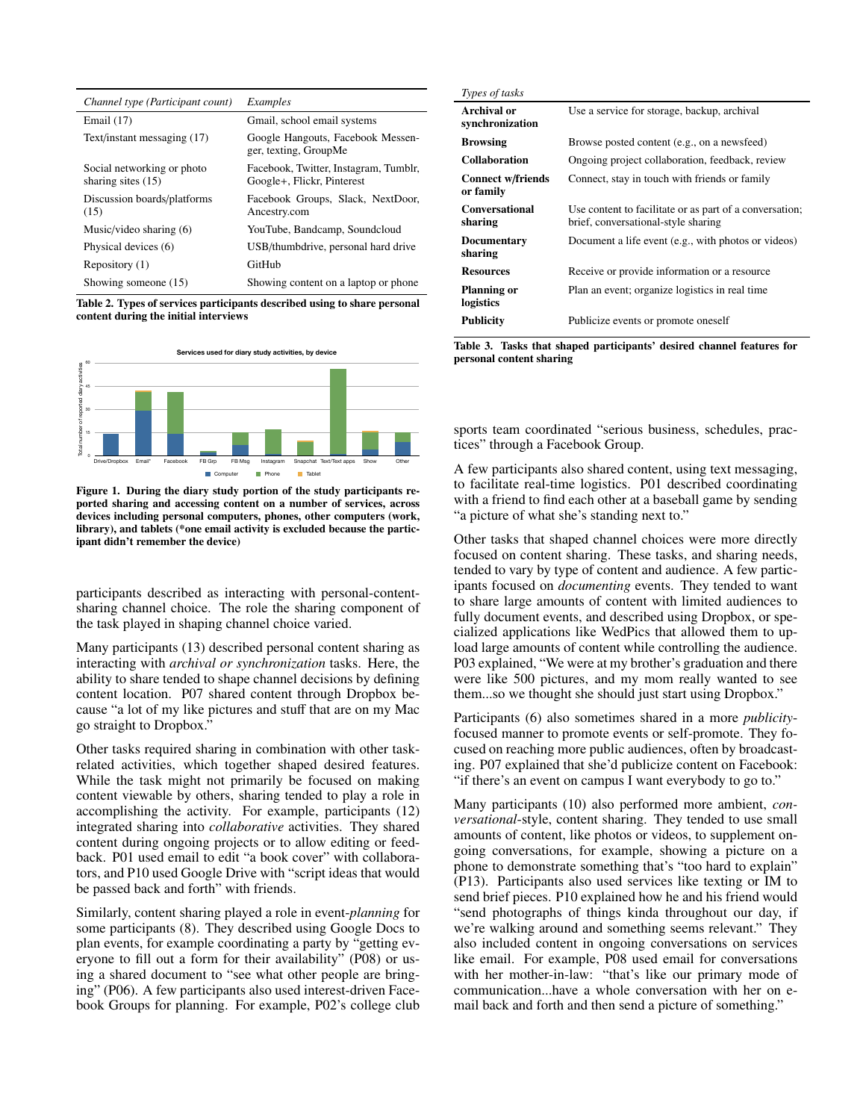| Channel type (Participant count)                   | Examples                                                            |
|----------------------------------------------------|---------------------------------------------------------------------|
| Email $(17)$                                       | Gmail, school email systems                                         |
| Text/instant messaging (17)                        | Google Hangouts, Facebook Messen-<br>ger, texting, GroupMe          |
| Social networking or photo<br>sharing sites $(15)$ | Facebook, Twitter, Instagram, Tumblr,<br>Google+, Flickr, Pinterest |
| Discussion boards/platforms<br>(15)                | Facebook Groups, Slack, NextDoor,<br>Ancestry.com                   |
| Music/video sharing $(6)$                          | YouTube, Bandcamp, Soundcloud                                       |
| Physical devices (6)                               | USB/thumbdrive, personal hard drive                                 |
| Repository (1)                                     | GitHub                                                              |
| Showing someone (15)                               | Showing content on a laptop or phone                                |

Table 2. Types of services participants described using to share personal content during the initial interviews



Figure 1. During the diary study portion of the study participants reported sharing and accessing content on a number of services, across devices including personal computers, phones, other computers (work, library), and tablets (\*one email activity is excluded because the participant didn't remember the device)

participants described as interacting with personal-contentsharing channel choice. The role the sharing component of the task played in shaping channel choice varied.

Many participants (13) described personal content sharing as interacting with *archival or synchronization* tasks. Here, the ability to share tended to shape channel decisions by defining content location. P07 shared content through Dropbox because "a lot of my like pictures and stuff that are on my Mac go straight to Dropbox."

Other tasks required sharing in combination with other taskrelated activities, which together shaped desired features. While the task might not primarily be focused on making content viewable by others, sharing tended to play a role in accomplishing the activity. For example, participants (12) integrated sharing into *collaborative* activities. They shared content during ongoing projects or to allow editing or feedback. P01 used email to edit "a book cover" with collaborators, and P10 used Google Drive with "script ideas that would be passed back and forth" with friends.

Similarly, content sharing played a role in event-*planning* for some participants (8). They described using Google Docs to plan events, for example coordinating a party by "getting everyone to fill out a form for their availability" (P08) or using a shared document to "see what other people are bringing" (P06). A few participants also used interest-driven Facebook Groups for planning. For example, P02's college club

| Types of tasks                        |                                                                                                |
|---------------------------------------|------------------------------------------------------------------------------------------------|
| Archival or<br>synchronization        | Use a service for storage, backup, archival                                                    |
| <b>Browsing</b>                       | Browse posted content (e.g., on a newsfeed)                                                    |
| <b>Collaboration</b>                  | Ongoing project collaboration, feedback, review                                                |
| <b>Connect w/friends</b><br>or family | Connect, stay in touch with friends or family                                                  |
| <b>Conversational</b><br>sharing      | Use content to facilitate or as part of a conversation;<br>brief, conversational-style sharing |
| Documentary<br>sharing                | Document a life event (e.g., with photos or videos)                                            |
| <b>Resources</b>                      | Receive or provide information or a resource.                                                  |
| <b>Planning or</b><br>logistics       | Plan an event; organize logistics in real time                                                 |
| <b>Publicity</b>                      | Publicize events or promote oneself                                                            |

Table 3. Tasks that shaped participants' desired channel features for personal content sharing

sports team coordinated "serious business, schedules, practices" through a Facebook Group.

A few participants also shared content, using text messaging, to facilitate real-time logistics. P01 described coordinating with a friend to find each other at a baseball game by sending "a picture of what she's standing next to."

Other tasks that shaped channel choices were more directly focused on content sharing. These tasks, and sharing needs, tended to vary by type of content and audience. A few participants focused on *documenting* events. They tended to want to share large amounts of content with limited audiences to fully document events, and described using Dropbox, or specialized applications like WedPics that allowed them to upload large amounts of content while controlling the audience. P03 explained, "We were at my brother's graduation and there were like 500 pictures, and my mom really wanted to see them...so we thought she should just start using Dropbox."

Participants (6) also sometimes shared in a more *publicity*focused manner to promote events or self-promote. They focused on reaching more public audiences, often by broadcasting. P07 explained that she'd publicize content on Facebook: "if there's an event on campus I want everybody to go to."

Many participants (10) also performed more ambient, *conversational*-style, content sharing. They tended to use small amounts of content, like photos or videos, to supplement ongoing conversations, for example, showing a picture on a phone to demonstrate something that's "too hard to explain" (P13). Participants also used services like texting or IM to send brief pieces. P10 explained how he and his friend would "send photographs of things kinda throughout our day, if we're walking around and something seems relevant." They also included content in ongoing conversations on services like email. For example, P08 used email for conversations with her mother-in-law: "that's like our primary mode of communication...have a whole conversation with her on email back and forth and then send a picture of something."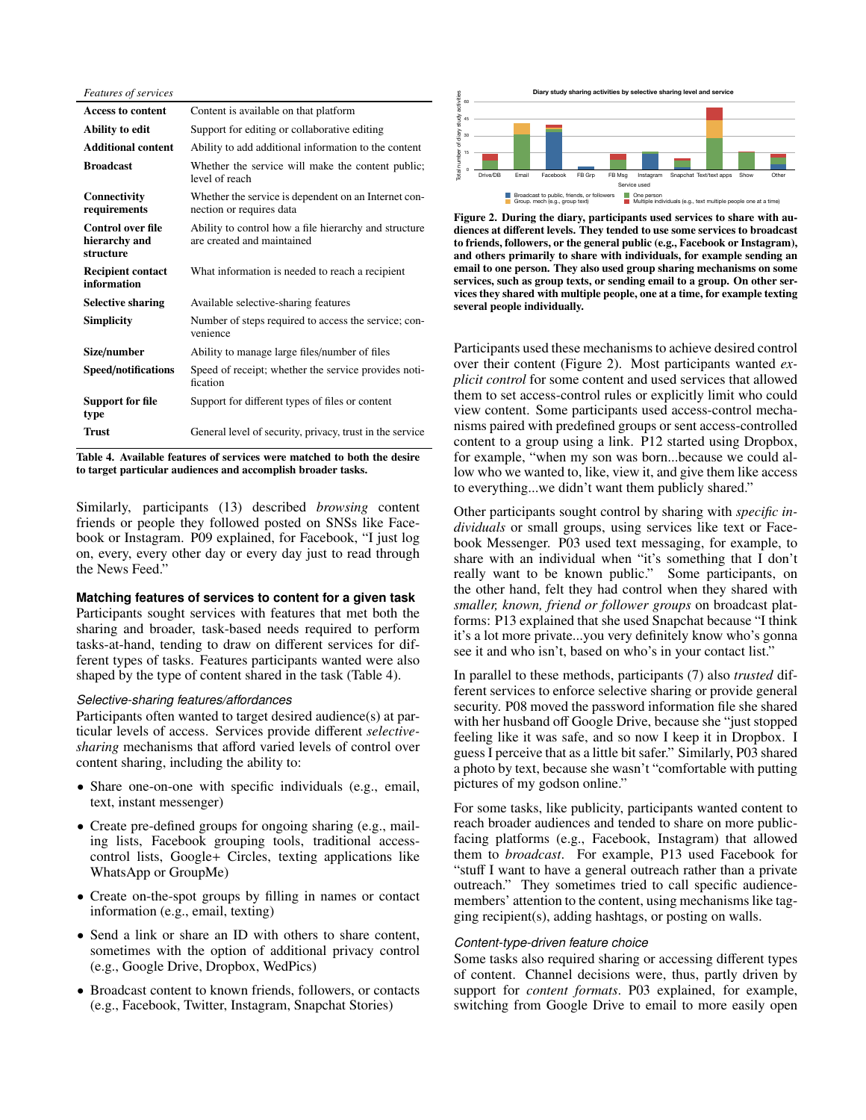*Features of services*

| <b>Access to content</b>                               | Content is available on that platform                                               |
|--------------------------------------------------------|-------------------------------------------------------------------------------------|
| Ability to edit                                        | Support for editing or collaborative editing                                        |
| <b>Additional content</b>                              | Ability to add additional information to the content                                |
| <b>Broadcast</b>                                       | Whether the service will make the content public;<br>level of reach                 |
| Connectivity<br>requirements                           | Whether the service is dependent on an Internet con-<br>nection or requires data    |
| <b>Control over file</b><br>hierarchy and<br>structure | Ability to control how a file hierarchy and structure<br>are created and maintained |
| <b>Recipient contact</b><br>information                | What information is needed to reach a recipient                                     |
| <b>Selective sharing</b>                               | Available selective-sharing features                                                |
| <b>Simplicity</b>                                      | Number of steps required to access the service; con-<br>venience                    |
| Size/number                                            | Ability to manage large files/number of files                                       |
| Speed/notifications                                    | Speed of receipt; whether the service provides noti-<br>fication                    |
| <b>Support for file</b><br>type                        | Support for different types of files or content                                     |
| <b>Trust</b>                                           | General level of security, privacy, trust in the service                            |
|                                                        |                                                                                     |

Table 4. Available features of services were matched to both the desire to target particular audiences and accomplish broader tasks.

Similarly, participants (13) described *browsing* content friends or people they followed posted on SNSs like Facebook or Instagram. P09 explained, for Facebook, "I just log on, every, every other day or every day just to read through the News Feed."

## **Matching features of services to content for a given task**

Participants sought services with features that met both the sharing and broader, task-based needs required to perform tasks-at-hand, tending to draw on different services for different types of tasks. Features participants wanted were also shaped by the type of content shared in the task (Table 4).

#### *Selective-sharing features/affordances*

Participants often wanted to target desired audience(s) at particular levels of access. Services provide different *selectivesharing* mechanisms that afford varied levels of control over content sharing, including the ability to:

- Share one-on-one with specific individuals (e.g., email, text, instant messenger)
- Create pre-defined groups for ongoing sharing (e.g., mailing lists, Facebook grouping tools, traditional accesscontrol lists, Google+ Circles, texting applications like WhatsApp or GroupMe)
- Create on-the-spot groups by filling in names or contact information (e.g., email, texting)
- Send a link or share an ID with others to share content, sometimes with the option of additional privacy control (e.g., Google Drive, Dropbox, WedPics)
- Broadcast content to known friends, followers, or contacts (e.g., Facebook, Twitter, Instagram, Snapchat Stories)



**multiple people one at a time)**

0 8 0 6 0 31 10 0 33 3 1 3 3 0 0 0 0 9 0 5 14 2 0 0 2 6 0 2 0 28 16 11

**Drive/DB Email Facebook FB Grp FB Msg Instagram Snapchat Text/text apps**

Figure 2. During the diary, participants used services to share with audiences at different levels. They tended to use some services to broadcast to friends, followers, or the general public (e.g., Facebook or Instagram), and others primarily to share with individuals, for example sending an email to one person. They also used group sharing mechanisms on some services, such as group texts, or sending email to a group. On other services they shared with multiple people, one at a time, for example texting several people individually.

Participants used these mechanisms to achieve desired control over their content (Figure 2). Most participants wanted *explicit control* for some content and used services that allowed them to set access-control rules or explicitly limit who could view content. Some participants used access-control mechanisms paired with predefined groups or sent access-controlled content to a group using a link. P12 started using Dropbox, for example, "when my son was born...because we could allow who we wanted to, like, view it, and give them like access to everything...we didn't want them publicly shared."

Other participants sought control by sharing with *specific individuals* or small groups, using services like text or Facebook Messenger. P03 used text messaging, for example, to share with an individual when "it's something that I don't really want to be known public." Some participants, on the other hand, felt they had control when they shared with *smaller, known, friend or follower groups* on broadcast platforms: P13 explained that she used Snapchat because "I think it's a lot more private...you very definitely know who's gonna see it and who isn't, based on who's in your contact list."

In parallel to these methods, participants (7) also *trusted* different services to enforce selective sharing or provide general security. P08 moved the password information file she shared with her husband off Google Drive, because she "just stopped feeling like it was safe, and so now I keep it in Dropbox. I guess I perceive that as a little bit safer." Similarly, P03 shared a photo by text, because she wasn't "comfortable with putting pictures of my godson online."

For some tasks, like publicity, participants wanted content to reach broader audiences and tended to share on more publicfacing platforms (e.g., Facebook, Instagram) that allowed them to *broadcast*. For example, P13 used Facebook for "stuff I want to have a general outreach rather than a private outreach." They sometimes tried to call specific audiencemembers' attention to the content, using mechanisms like tagging recipient(s), adding hashtags, or posting on walls.

## *Content-type-driven feature choice*

Some tasks also required sharing or accessing different types of content. Channel decisions were, thus, partly driven by support for *content formats*. P03 explained, for example, switching from Google Drive to email to more easily open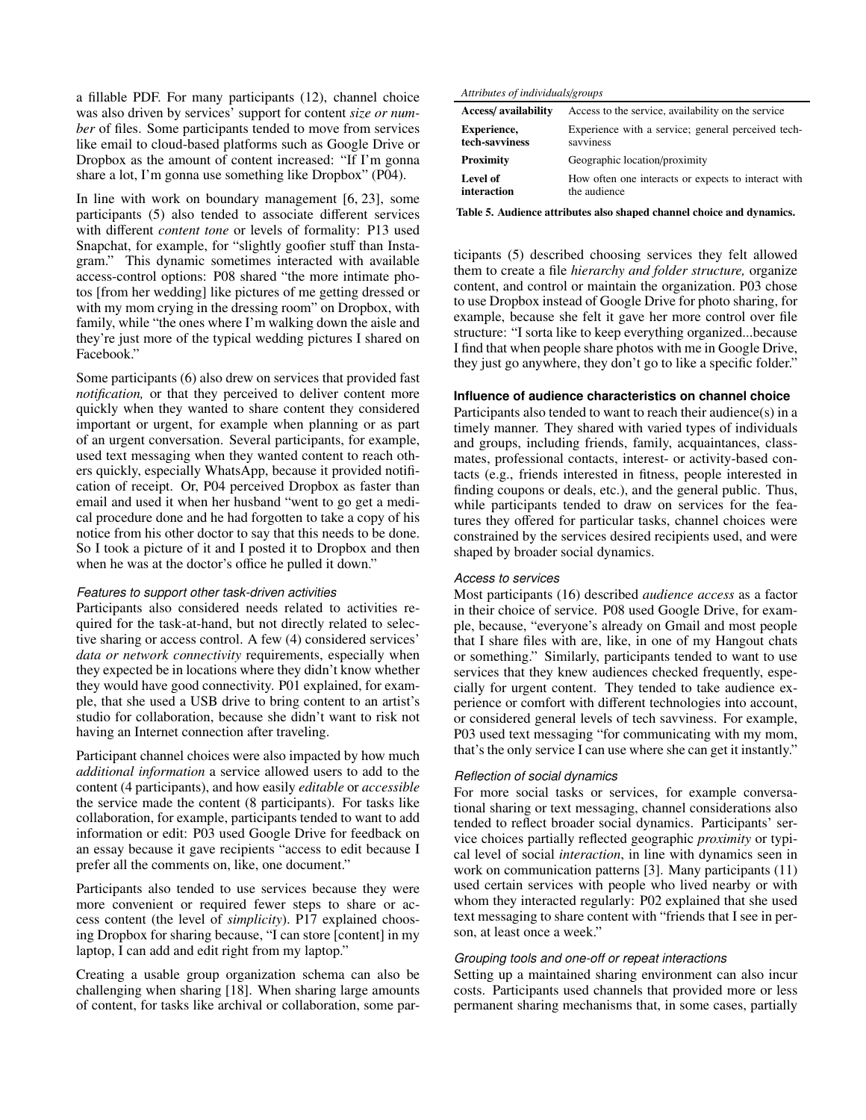a fillable PDF. For many participants (12), channel choice was also driven by services' support for content *size or number* of files. Some participants tended to move from services like email to cloud-based platforms such as Google Drive or Dropbox as the amount of content increased: "If I'm gonna share a lot, I'm gonna use something like Dropbox" (P04).

In line with work on boundary management [6, 23], some participants (5) also tended to associate different services with different *content tone* or levels of formality: P13 used Snapchat, for example, for "slightly goofier stuff than Instagram." This dynamic sometimes interacted with available access-control options: P08 shared "the more intimate photos [from her wedding] like pictures of me getting dressed or with my mom crying in the dressing room" on Dropbox, with family, while "the ones where I'm walking down the aisle and they're just more of the typical wedding pictures I shared on Facebook."

Some participants (6) also drew on services that provided fast *notification,* or that they perceived to deliver content more quickly when they wanted to share content they considered important or urgent, for example when planning or as part of an urgent conversation. Several participants, for example, used text messaging when they wanted content to reach others quickly, especially WhatsApp, because it provided notification of receipt. Or, P04 perceived Dropbox as faster than email and used it when her husband "went to go get a medical procedure done and he had forgotten to take a copy of his notice from his other doctor to say that this needs to be done. So I took a picture of it and I posted it to Dropbox and then when he was at the doctor's office he pulled it down."

## *Features to support other task-driven activities*

Participants also considered needs related to activities required for the task-at-hand, but not directly related to selective sharing or access control. A few (4) considered services' *data or network connectivity* requirements, especially when they expected be in locations where they didn't know whether they would have good connectivity. P01 explained, for example, that she used a USB drive to bring content to an artist's studio for collaboration, because she didn't want to risk not having an Internet connection after traveling.

Participant channel choices were also impacted by how much *additional information* a service allowed users to add to the content (4 participants), and how easily *editable* or *accessible* the service made the content (8 participants). For tasks like collaboration, for example, participants tended to want to add information or edit: P03 used Google Drive for feedback on an essay because it gave recipients "access to edit because I prefer all the comments on, like, one document."

Participants also tended to use services because they were more convenient or required fewer steps to share or access content (the level of *simplicity*). P17 explained choosing Dropbox for sharing because, "I can store [content] in my laptop, I can add and edit right from my laptop."

Creating a usable group organization schema can also be challenging when sharing [18]. When sharing large amounts of content, for tasks like archival or collaboration, some par-

#### *Attributes of individuals*/*groups*

| <b>Access/</b> availability | Access to the service, availability on the service  |
|-----------------------------|-----------------------------------------------------|
| <b>Experience,</b>          | Experience with a service; general perceived tech-  |
| tech-savviness              | savviness                                           |
| <b>Proximity</b>            | Geographic location/proximity                       |
| Level of                    | How often one interacts or expects to interact with |
| interaction                 | the audience                                        |

Table 5. Audience attributes also shaped channel choice and dynamics.

ticipants (5) described choosing services they felt allowed them to create a file *hierarchy and folder structure,* organize content, and control or maintain the organization. P03 chose to use Dropbox instead of Google Drive for photo sharing, for example, because she felt it gave her more control over file structure: "I sorta like to keep everything organized...because I find that when people share photos with me in Google Drive, they just go anywhere, they don't go to like a specific folder."

## **Influence of audience characteristics on channel choice**

Participants also tended to want to reach their audience(s) in a timely manner. They shared with varied types of individuals and groups, including friends, family, acquaintances, classmates, professional contacts, interest- or activity-based contacts (e.g., friends interested in fitness, people interested in finding coupons or deals, etc.), and the general public. Thus, while participants tended to draw on services for the features they offered for particular tasks, channel choices were constrained by the services desired recipients used, and were shaped by broader social dynamics.

## *Access to services*

Most participants (16) described *audience access* as a factor in their choice of service. P08 used Google Drive, for example, because, "everyone's already on Gmail and most people that I share files with are, like, in one of my Hangout chats or something." Similarly, participants tended to want to use services that they knew audiences checked frequently, especially for urgent content. They tended to take audience experience or comfort with different technologies into account, or considered general levels of tech savviness. For example, P03 used text messaging "for communicating with my mom, that's the only service I can use where she can get it instantly."

## *Reflection of social dynamics*

For more social tasks or services, for example conversational sharing or text messaging, channel considerations also tended to reflect broader social dynamics. Participants' service choices partially reflected geographic *proximity* or typical level of social *interaction*, in line with dynamics seen in work on communication patterns [3]. Many participants (11) used certain services with people who lived nearby or with whom they interacted regularly: P02 explained that she used text messaging to share content with "friends that I see in person, at least once a week."

## *Grouping tools and one-off or repeat interactions*

Setting up a maintained sharing environment can also incur costs. Participants used channels that provided more or less permanent sharing mechanisms that, in some cases, partially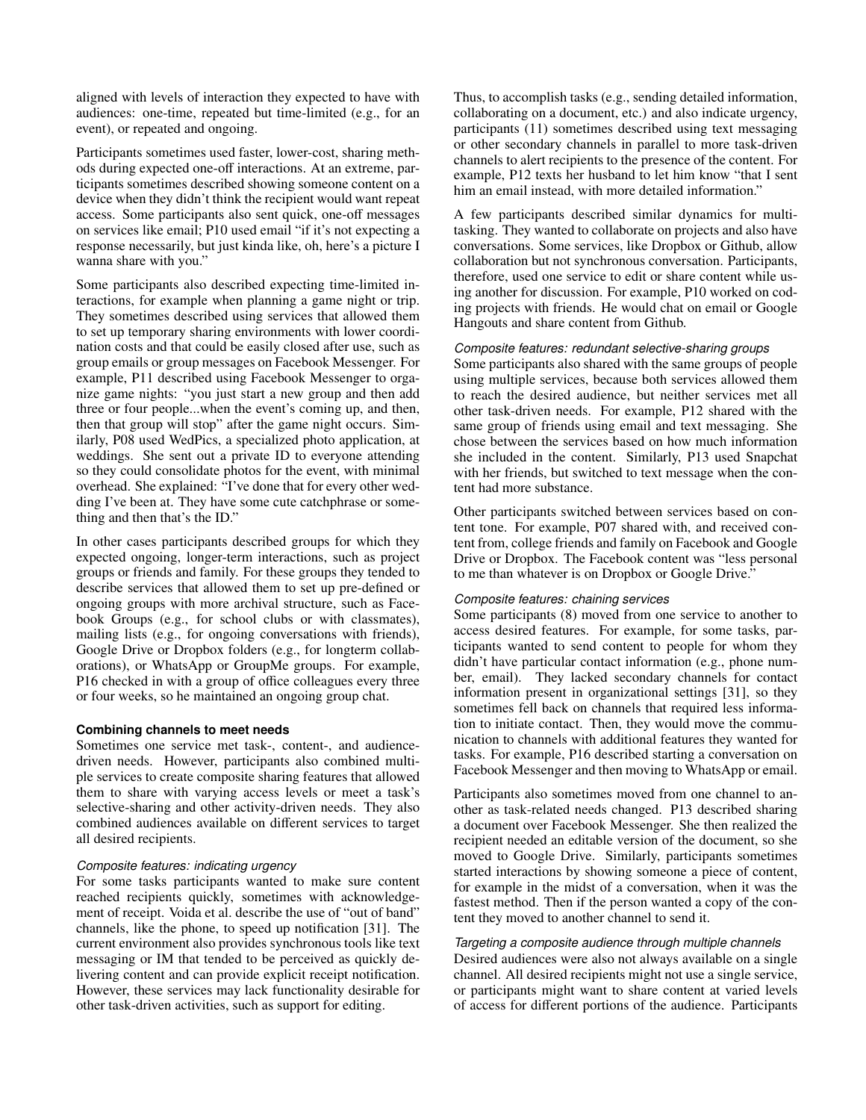aligned with levels of interaction they expected to have with audiences: one-time, repeated but time-limited (e.g., for an event), or repeated and ongoing.

Participants sometimes used faster, lower-cost, sharing methods during expected one-off interactions. At an extreme, participants sometimes described showing someone content on a device when they didn't think the recipient would want repeat access. Some participants also sent quick, one-off messages on services like email; P10 used email "if it's not expecting a response necessarily, but just kinda like, oh, here's a picture I wanna share with you."

Some participants also described expecting time-limited interactions, for example when planning a game night or trip. They sometimes described using services that allowed them to set up temporary sharing environments with lower coordination costs and that could be easily closed after use, such as group emails or group messages on Facebook Messenger. For example, P11 described using Facebook Messenger to organize game nights: "you just start a new group and then add three or four people...when the event's coming up, and then, then that group will stop" after the game night occurs. Similarly, P08 used WedPics, a specialized photo application, at weddings. She sent out a private ID to everyone attending so they could consolidate photos for the event, with minimal overhead. She explained: "I've done that for every other wedding I've been at. They have some cute catchphrase or something and then that's the ID."

In other cases participants described groups for which they expected ongoing, longer-term interactions, such as project groups or friends and family. For these groups they tended to describe services that allowed them to set up pre-defined or ongoing groups with more archival structure, such as Facebook Groups (e.g., for school clubs or with classmates), mailing lists (e.g., for ongoing conversations with friends), Google Drive or Dropbox folders (e.g., for longterm collaborations), or WhatsApp or GroupMe groups. For example, P16 checked in with a group of office colleagues every three or four weeks, so he maintained an ongoing group chat.

## **Combining channels to meet needs**

Sometimes one service met task-, content-, and audiencedriven needs. However, participants also combined multiple services to create composite sharing features that allowed them to share with varying access levels or meet a task's selective-sharing and other activity-driven needs. They also combined audiences available on different services to target all desired recipients.

## *Composite features: indicating urgency*

For some tasks participants wanted to make sure content reached recipients quickly, sometimes with acknowledgement of receipt. Voida et al. describe the use of "out of band" channels, like the phone, to speed up notification [31]. The current environment also provides synchronous tools like text messaging or IM that tended to be perceived as quickly delivering content and can provide explicit receipt notification. However, these services may lack functionality desirable for other task-driven activities, such as support for editing.

Thus, to accomplish tasks (e.g., sending detailed information, collaborating on a document, etc.) and also indicate urgency, participants (11) sometimes described using text messaging or other secondary channels in parallel to more task-driven channels to alert recipients to the presence of the content. For example, P12 texts her husband to let him know "that I sent him an email instead, with more detailed information."

A few participants described similar dynamics for multitasking. They wanted to collaborate on projects and also have conversations. Some services, like Dropbox or Github, allow collaboration but not synchronous conversation. Participants, therefore, used one service to edit or share content while using another for discussion. For example, P10 worked on coding projects with friends. He would chat on email or Google Hangouts and share content from Github.

## *Composite features: redundant selective-sharing groups*

Some participants also shared with the same groups of people using multiple services, because both services allowed them to reach the desired audience, but neither services met all other task-driven needs. For example, P12 shared with the same group of friends using email and text messaging. She chose between the services based on how much information she included in the content. Similarly, P13 used Snapchat with her friends, but switched to text message when the content had more substance.

Other participants switched between services based on content tone. For example, P07 shared with, and received content from, college friends and family on Facebook and Google Drive or Dropbox. The Facebook content was "less personal to me than whatever is on Dropbox or Google Drive."

# *Composite features: chaining services*

Some participants (8) moved from one service to another to access desired features. For example, for some tasks, participants wanted to send content to people for whom they didn't have particular contact information (e.g., phone number, email). They lacked secondary channels for contact information present in organizational settings [31], so they sometimes fell back on channels that required less information to initiate contact. Then, they would move the communication to channels with additional features they wanted for tasks. For example, P16 described starting a conversation on Facebook Messenger and then moving to WhatsApp or email.

Participants also sometimes moved from one channel to another as task-related needs changed. P13 described sharing a document over Facebook Messenger. She then realized the recipient needed an editable version of the document, so she moved to Google Drive. Similarly, participants sometimes started interactions by showing someone a piece of content, for example in the midst of a conversation, when it was the fastest method. Then if the person wanted a copy of the content they moved to another channel to send it.

## *Targeting a composite audience through multiple channels*

Desired audiences were also not always available on a single channel. All desired recipients might not use a single service, or participants might want to share content at varied levels of access for different portions of the audience. Participants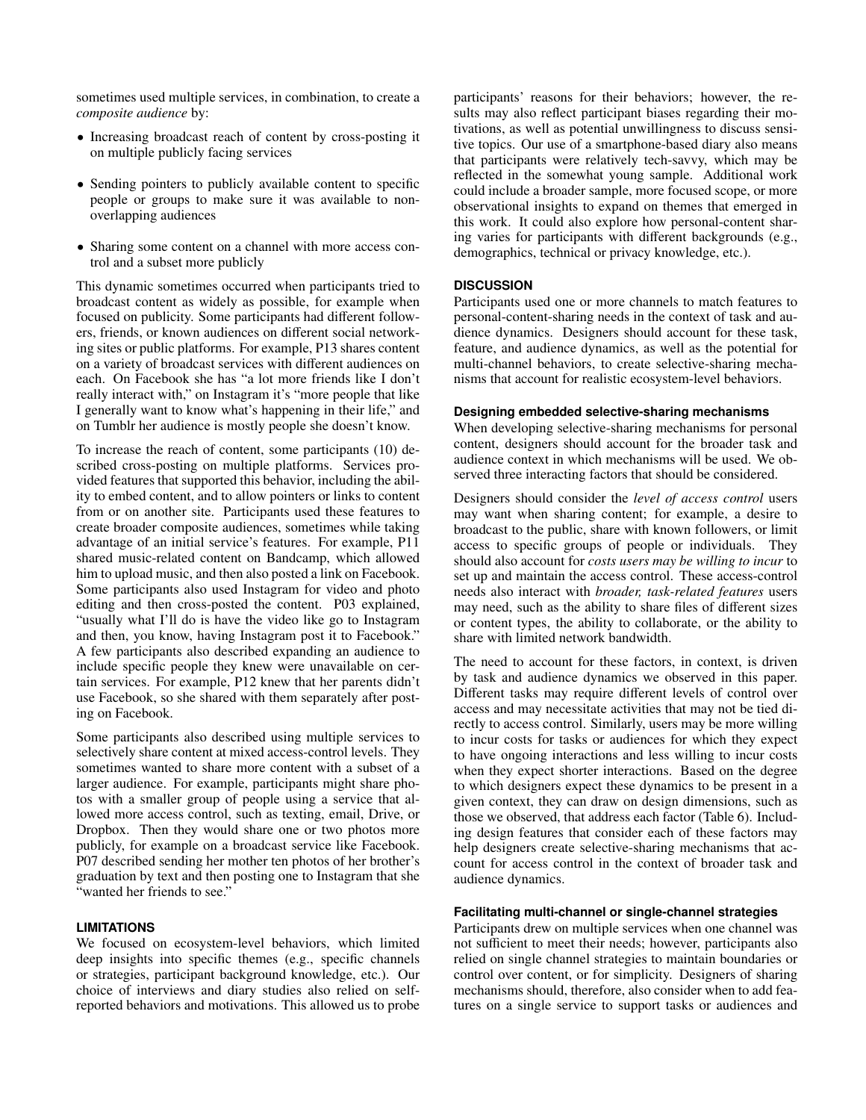sometimes used multiple services, in combination, to create a *composite audience* by:

- Increasing broadcast reach of content by cross-posting it on multiple publicly facing services
- Sending pointers to publicly available content to specific people or groups to make sure it was available to nonoverlapping audiences
- Sharing some content on a channel with more access control and a subset more publicly

This dynamic sometimes occurred when participants tried to broadcast content as widely as possible, for example when focused on publicity. Some participants had different followers, friends, or known audiences on different social networking sites or public platforms. For example, P13 shares content on a variety of broadcast services with different audiences on each. On Facebook she has "a lot more friends like I don't really interact with," on Instagram it's "more people that like I generally want to know what's happening in their life," and on Tumblr her audience is mostly people she doesn't know.

To increase the reach of content, some participants (10) described cross-posting on multiple platforms. Services provided features that supported this behavior, including the ability to embed content, and to allow pointers or links to content from or on another site. Participants used these features to create broader composite audiences, sometimes while taking advantage of an initial service's features. For example, P11 shared music-related content on Bandcamp, which allowed him to upload music, and then also posted a link on Facebook. Some participants also used Instagram for video and photo editing and then cross-posted the content. P03 explained, "usually what I'll do is have the video like go to Instagram and then, you know, having Instagram post it to Facebook." A few participants also described expanding an audience to include specific people they knew were unavailable on certain services. For example, P12 knew that her parents didn't use Facebook, so she shared with them separately after posting on Facebook.

Some participants also described using multiple services to selectively share content at mixed access-control levels. They sometimes wanted to share more content with a subset of a larger audience. For example, participants might share photos with a smaller group of people using a service that allowed more access control, such as texting, email, Drive, or Dropbox. Then they would share one or two photos more publicly, for example on a broadcast service like Facebook. P07 described sending her mother ten photos of her brother's graduation by text and then posting one to Instagram that she "wanted her friends to see."

# **LIMITATIONS**

We focused on ecosystem-level behaviors, which limited deep insights into specific themes (e.g., specific channels or strategies, participant background knowledge, etc.). Our choice of interviews and diary studies also relied on selfreported behaviors and motivations. This allowed us to probe participants' reasons for their behaviors; however, the results may also reflect participant biases regarding their motivations, as well as potential unwillingness to discuss sensitive topics. Our use of a smartphone-based diary also means that participants were relatively tech-savvy, which may be reflected in the somewhat young sample. Additional work could include a broader sample, more focused scope, or more observational insights to expand on themes that emerged in this work. It could also explore how personal-content sharing varies for participants with different backgrounds (e.g., demographics, technical or privacy knowledge, etc.).

# **DISCUSSION**

Participants used one or more channels to match features to personal-content-sharing needs in the context of task and audience dynamics. Designers should account for these task, feature, and audience dynamics, as well as the potential for multi-channel behaviors, to create selective-sharing mechanisms that account for realistic ecosystem-level behaviors.

## **Designing embedded selective-sharing mechanisms**

When developing selective-sharing mechanisms for personal content, designers should account for the broader task and audience context in which mechanisms will be used. We observed three interacting factors that should be considered.

Designers should consider the *level of access control* users may want when sharing content; for example, a desire to broadcast to the public, share with known followers, or limit access to specific groups of people or individuals. They should also account for *costs users may be willing to incur* to set up and maintain the access control. These access-control needs also interact with *broader, task-related features* users may need, such as the ability to share files of different sizes or content types, the ability to collaborate, or the ability to share with limited network bandwidth.

The need to account for these factors, in context, is driven by task and audience dynamics we observed in this paper. Different tasks may require different levels of control over access and may necessitate activities that may not be tied directly to access control. Similarly, users may be more willing to incur costs for tasks or audiences for which they expect to have ongoing interactions and less willing to incur costs when they expect shorter interactions. Based on the degree to which designers expect these dynamics to be present in a given context, they can draw on design dimensions, such as those we observed, that address each factor (Table 6). Including design features that consider each of these factors may help designers create selective-sharing mechanisms that account for access control in the context of broader task and audience dynamics.

## **Facilitating multi-channel or single-channel strategies**

Participants drew on multiple services when one channel was not sufficient to meet their needs; however, participants also relied on single channel strategies to maintain boundaries or control over content, or for simplicity. Designers of sharing mechanisms should, therefore, also consider when to add features on a single service to support tasks or audiences and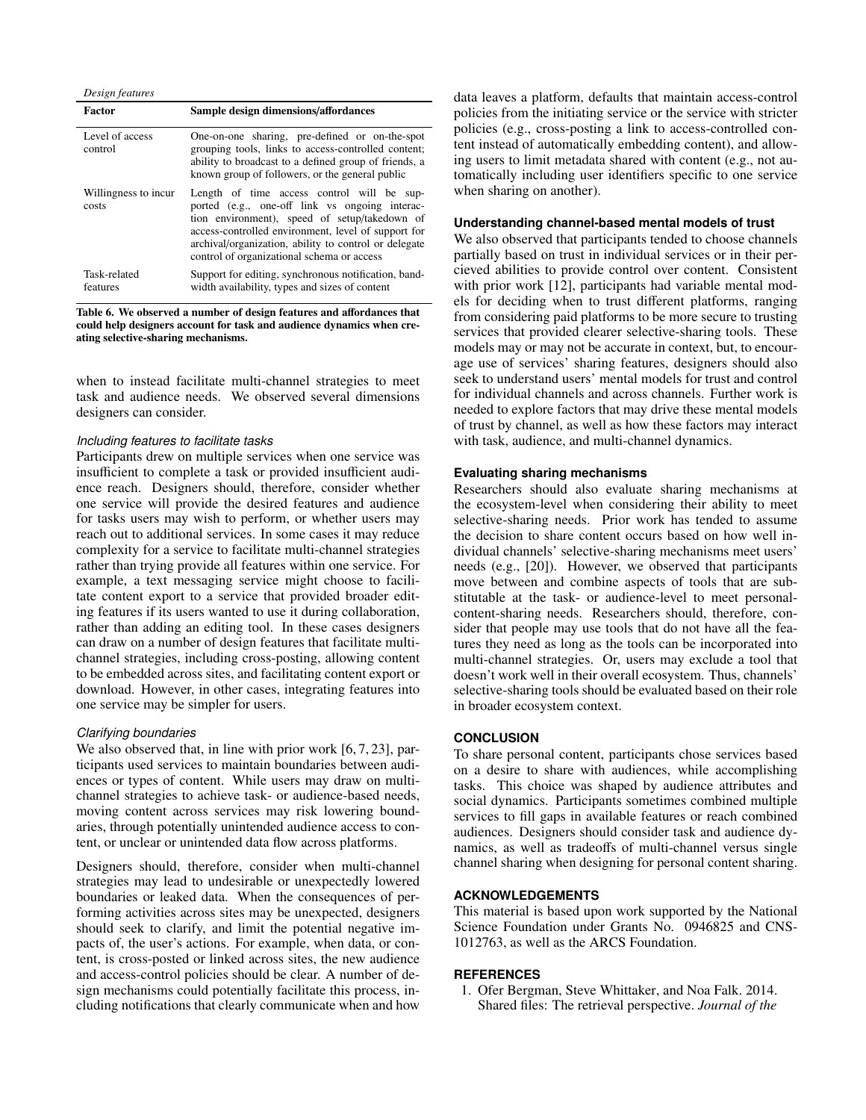| Design features               |                                                                                                                                                                                                                                                                                                             |  |  |  |
|-------------------------------|-------------------------------------------------------------------------------------------------------------------------------------------------------------------------------------------------------------------------------------------------------------------------------------------------------------|--|--|--|
| Factor                        | Sample design dimensions/affordances                                                                                                                                                                                                                                                                        |  |  |  |
| Level of access<br>control    | One-on-one sharing, pre-defined or on-the-spot<br>grouping tools, links to access-controlled content;<br>ability to broadcast to a defined group of friends, a<br>known group of followers, or the general public                                                                                           |  |  |  |
| Willingness to incur<br>costs | Length of time access control will be sup-<br>ported (e.g., one-off link vs ongoing interac-<br>tion environment), speed of setup/takedown of<br>access-controlled environment, level of support for<br>archival/organization, ability to control or delegate<br>control of organizational schema or access |  |  |  |
| Task-related<br>features      | Support for editing, synchronous notification, band-<br>width availability, types and sizes of content                                                                                                                                                                                                      |  |  |  |

Table 6. We observed a number of design features and affordances that could help designers account for task and audience dynamics when creating selective-sharing mechanisms.

when to instead facilitate multi-channel strategies to meet task and audience needs. We observed several dimensions designers can consider.

# *Including features to facilitate tasks*

Participants drew on multiple services when one service was insufficient to complete a task or provided insufficient audience reach. Designers should, therefore, consider whether one service will provide the desired features and audience for tasks users may wish to perform, or whether users may reach out to additional services. In some cases it may reduce complexity for a service to facilitate multi-channel strategies rather than trying provide all features within one service. For example, a text messaging service might choose to facilitate content export to a service that provided broader editing features if its users wanted to use it during collaboration, rather than adding an editing tool. In these cases designers can draw on a number of design features that facilitate multichannel strategies, including cross-posting, allowing content to be embedded across sites, and facilitating content export or download. However, in other cases, integrating features into one service may be simpler for users.

## *Clarifying boundaries*

We also observed that, in line with prior work [6, 7, 23], participants used services to maintain boundaries between audiences or types of content. While users may draw on multichannel strategies to achieve task- or audience-based needs, moving content across services may risk lowering boundaries, through potentially unintended audience access to content, or unclear or unintended data flow across platforms.

Designers should, therefore, consider when multi-channel strategies may lead to undesirable or unexpectedly lowered boundaries or leaked data. When the consequences of performing activities across sites may be unexpected, designers should seek to clarify, and limit the potential negative impacts of, the user's actions. For example, when data, or content, is cross-posted or linked across sites, the new audience and access-control policies should be clear. A number of design mechanisms could potentially facilitate this process, including notifications that clearly communicate when and how

data leaves a platform, defaults that maintain access-control policies from the initiating service or the service with stricter policies (e.g., cross-posting a link to access-controlled content instead of automatically embedding content), and allowing users to limit metadata shared with content (e.g., not automatically including user identifiers specific to one service when sharing on another).

## **Understanding channel-based mental models of trust**

We also observed that participants tended to choose channels partially based on trust in individual services or in their percieved abilities to provide control over content. Consistent with prior work [12], participants had variable mental models for deciding when to trust different platforms, ranging from considering paid platforms to be more secure to trusting services that provided clearer selective-sharing tools. These models may or may not be accurate in context, but, to encourage use of services' sharing features, designers should also seek to understand users' mental models for trust and control for individual channels and across channels. Further work is needed to explore factors that may drive these mental models of trust by channel, as well as how these factors may interact with task, audience, and multi-channel dynamics.

## **Evaluating sharing mechanisms**

Researchers should also evaluate sharing mechanisms at the ecosystem-level when considering their ability to meet selective-sharing needs. Prior work has tended to assume the decision to share content occurs based on how well individual channels' selective-sharing mechanisms meet users' needs (e.g., [20]). However, we observed that participants move between and combine aspects of tools that are substitutable at the task- or audience-level to meet personalcontent-sharing needs. Researchers should, therefore, consider that people may use tools that do not have all the features they need as long as the tools can be incorporated into multi-channel strategies. Or, users may exclude a tool that doesn't work well in their overall ecosystem. Thus, channels' selective-sharing tools should be evaluated based on their role in broader ecosystem context.

## **CONCLUSION**

To share personal content, participants chose services based on a desire to share with audiences, while accomplishing tasks. This choice was shaped by audience attributes and social dynamics. Participants sometimes combined multiple services to fill gaps in available features or reach combined audiences. Designers should consider task and audience dynamics, as well as tradeoffs of multi-channel versus single channel sharing when designing for personal content sharing.

## **ACKNOWLEDGEMENTS**

This material is based upon work supported by the National Science Foundation under Grants No. 0946825 and CNS-1012763, as well as the ARCS Foundation.

## **REFERENCES**

1. Ofer Bergman, Steve Whittaker, and Noa Falk. 2014. Shared files: The retrieval perspective. *Journal of the*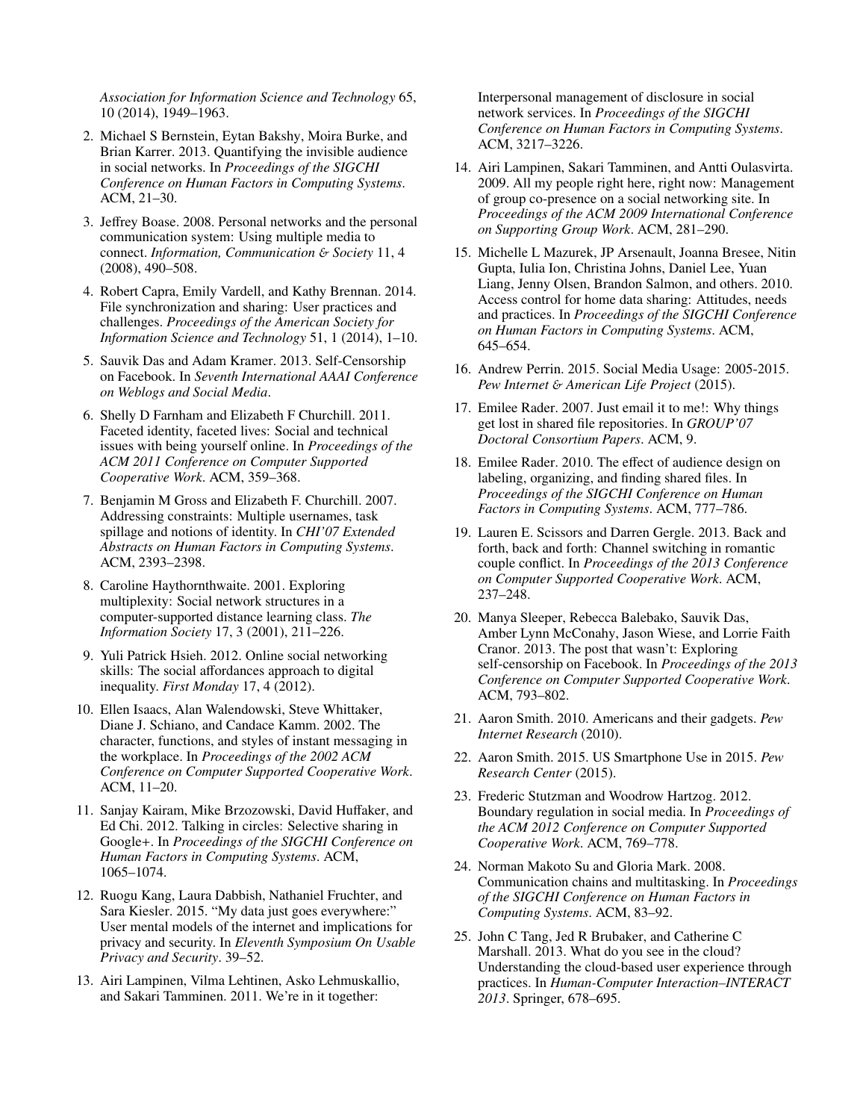*Association for Information Science and Technology* 65, 10 (2014), 1949–1963.

- 2. Michael S Bernstein, Eytan Bakshy, Moira Burke, and Brian Karrer. 2013. Quantifying the invisible audience in social networks. In *Proceedings of the SIGCHI Conference on Human Factors in Computing Systems*. ACM, 21–30.
- 3. Jeffrey Boase. 2008. Personal networks and the personal communication system: Using multiple media to connect. *Information, Communication* & *Society* 11, 4 (2008), 490–508.
- 4. Robert Capra, Emily Vardell, and Kathy Brennan. 2014. File synchronization and sharing: User practices and challenges. *Proceedings of the American Society for Information Science and Technology* 51, 1 (2014), 1–10.
- 5. Sauvik Das and Adam Kramer. 2013. Self-Censorship on Facebook. In *Seventh International AAAI Conference on Weblogs and Social Media*.
- 6. Shelly D Farnham and Elizabeth F Churchill. 2011. Faceted identity, faceted lives: Social and technical issues with being yourself online. In *Proceedings of the ACM 2011 Conference on Computer Supported Cooperative Work*. ACM, 359–368.
- 7. Benjamin M Gross and Elizabeth F. Churchill. 2007. Addressing constraints: Multiple usernames, task spillage and notions of identity. In *CHI'07 Extended Abstracts on Human Factors in Computing Systems*. ACM, 2393–2398.
- 8. Caroline Haythornthwaite. 2001. Exploring multiplexity: Social network structures in a computer-supported distance learning class. *The Information Society* 17, 3 (2001), 211–226.
- 9. Yuli Patrick Hsieh. 2012. Online social networking skills: The social affordances approach to digital inequality. *First Monday* 17, 4 (2012).
- 10. Ellen Isaacs, Alan Walendowski, Steve Whittaker, Diane J. Schiano, and Candace Kamm. 2002. The character, functions, and styles of instant messaging in the workplace. In *Proceedings of the 2002 ACM Conference on Computer Supported Cooperative Work*. ACM, 11–20.
- 11. Sanjay Kairam, Mike Brzozowski, David Huffaker, and Ed Chi. 2012. Talking in circles: Selective sharing in Google+. In *Proceedings of the SIGCHI Conference on Human Factors in Computing Systems*. ACM, 1065–1074.
- 12. Ruogu Kang, Laura Dabbish, Nathaniel Fruchter, and Sara Kiesler. 2015. "My data just goes everywhere:" User mental models of the internet and implications for privacy and security. In *Eleventh Symposium On Usable Privacy and Security*. 39–52.
- 13. Airi Lampinen, Vilma Lehtinen, Asko Lehmuskallio, and Sakari Tamminen. 2011. We're in it together:

Interpersonal management of disclosure in social network services. In *Proceedings of the SIGCHI Conference on Human Factors in Computing Systems*. ACM, 3217–3226.

- 14. Airi Lampinen, Sakari Tamminen, and Antti Oulasvirta. 2009. All my people right here, right now: Management of group co-presence on a social networking site. In *Proceedings of the ACM 2009 International Conference on Supporting Group Work*. ACM, 281–290.
- 15. Michelle L Mazurek, JP Arsenault, Joanna Bresee, Nitin Gupta, Iulia Ion, Christina Johns, Daniel Lee, Yuan Liang, Jenny Olsen, Brandon Salmon, and others. 2010. Access control for home data sharing: Attitudes, needs and practices. In *Proceedings of the SIGCHI Conference on Human Factors in Computing Systems*. ACM, 645–654.
- 16. Andrew Perrin. 2015. Social Media Usage: 2005-2015. *Pew Internet* & *American Life Project* (2015).
- 17. Emilee Rader. 2007. Just email it to me!: Why things get lost in shared file repositories. In *GROUP'07 Doctoral Consortium Papers*. ACM, 9.
- 18. Emilee Rader. 2010. The effect of audience design on labeling, organizing, and finding shared files. In *Proceedings of the SIGCHI Conference on Human Factors in Computing Systems*. ACM, 777–786.
- 19. Lauren E. Scissors and Darren Gergle. 2013. Back and forth, back and forth: Channel switching in romantic couple conflict. In *Proceedings of the 2013 Conference on Computer Supported Cooperative Work*. ACM, 237–248.
- 20. Manya Sleeper, Rebecca Balebako, Sauvik Das, Amber Lynn McConahy, Jason Wiese, and Lorrie Faith Cranor. 2013. The post that wasn't: Exploring self-censorship on Facebook. In *Proceedings of the 2013 Conference on Computer Supported Cooperative Work*. ACM, 793–802.
- 21. Aaron Smith. 2010. Americans and their gadgets. *Pew Internet Research* (2010).
- 22. Aaron Smith. 2015. US Smartphone Use in 2015. *Pew Research Center* (2015).
- 23. Frederic Stutzman and Woodrow Hartzog. 2012. Boundary regulation in social media. In *Proceedings of the ACM 2012 Conference on Computer Supported Cooperative Work*. ACM, 769–778.
- 24. Norman Makoto Su and Gloria Mark. 2008. Communication chains and multitasking. In *Proceedings of the SIGCHI Conference on Human Factors in Computing Systems*. ACM, 83–92.
- 25. John C Tang, Jed R Brubaker, and Catherine C Marshall. 2013. What do you see in the cloud? Understanding the cloud-based user experience through practices. In *Human-Computer Interaction–INTERACT 2013*. Springer, 678–695.